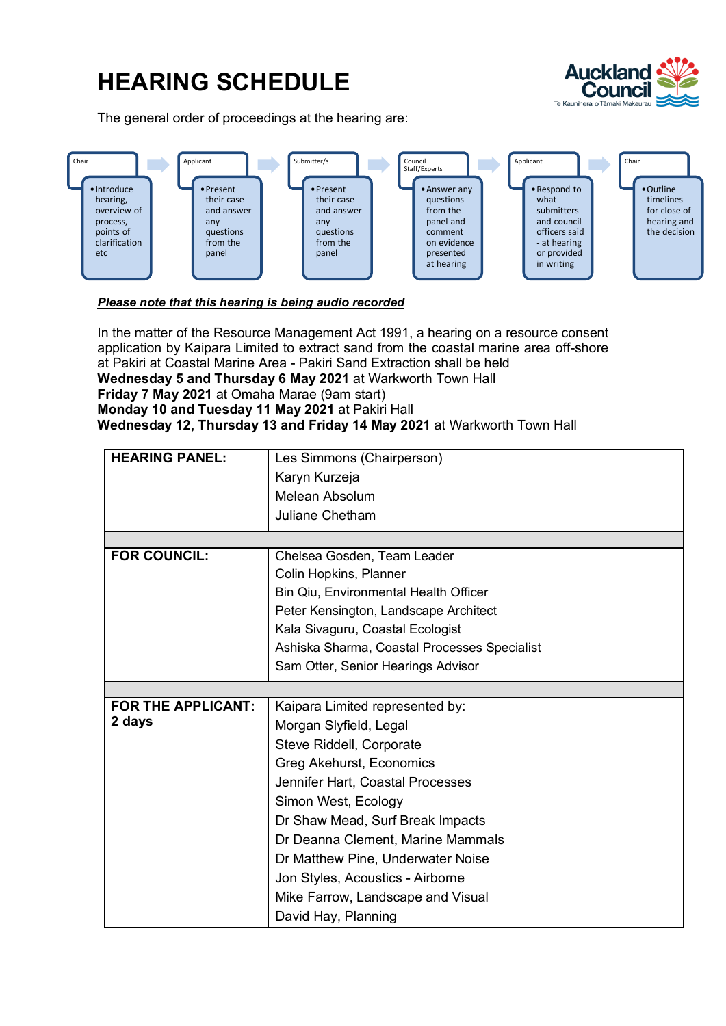## **HEARING SCHEDULE**

The general order of proceedings at the hearing are:





## *Please note that this hearing is being audio recorded*

In the matter of the Resource Management Act 1991, a hearing on a resource consent application by Kaipara Limited to extract sand from the coastal marine area off-shore at Pakiri at Coastal Marine Area - Pakiri Sand Extraction shall be held **Wednesday 5 and Thursday 6 May 2021** at Warkworth Town Hall **Friday 7 May 2021** at Omaha Marae (9am start) **Monday 10 and Tuesday 11 May 2021** at Pakiri Hall **Wednesday 12, Thursday 13 and Friday 14 May 2021** at Warkworth Town Hall

| <b>HEARING PANEL:</b>     | Les Simmons (Chairperson)                    |
|---------------------------|----------------------------------------------|
|                           | Karyn Kurzeja                                |
|                           | Melean Absolum                               |
|                           | <b>Juliane Chetham</b>                       |
|                           |                                              |
| <b>FOR COUNCIL:</b>       | Chelsea Gosden, Team Leader                  |
|                           | Colin Hopkins, Planner                       |
|                           | Bin Qiu, Environmental Health Officer        |
|                           | Peter Kensington, Landscape Architect        |
|                           | Kala Sivaguru, Coastal Ecologist             |
|                           | Ashiska Sharma, Coastal Processes Specialist |
|                           | Sam Otter, Senior Hearings Advisor           |
|                           |                                              |
| <b>FOR THE APPLICANT:</b> | Kaipara Limited represented by:              |
| 2 days                    | Morgan Slyfield, Legal                       |
|                           | Steve Riddell, Corporate                     |
|                           | Greg Akehurst, Economics                     |
|                           | Jennifer Hart, Coastal Processes             |
|                           | Simon West, Ecology                          |
|                           | Dr Shaw Mead, Surf Break Impacts             |
|                           | Dr Deanna Clement, Marine Mammals            |
|                           | Dr Matthew Pine, Underwater Noise            |
|                           | Jon Styles, Acoustics - Airborne             |
|                           | Mike Farrow, Landscape and Visual            |
|                           | David Hay, Planning                          |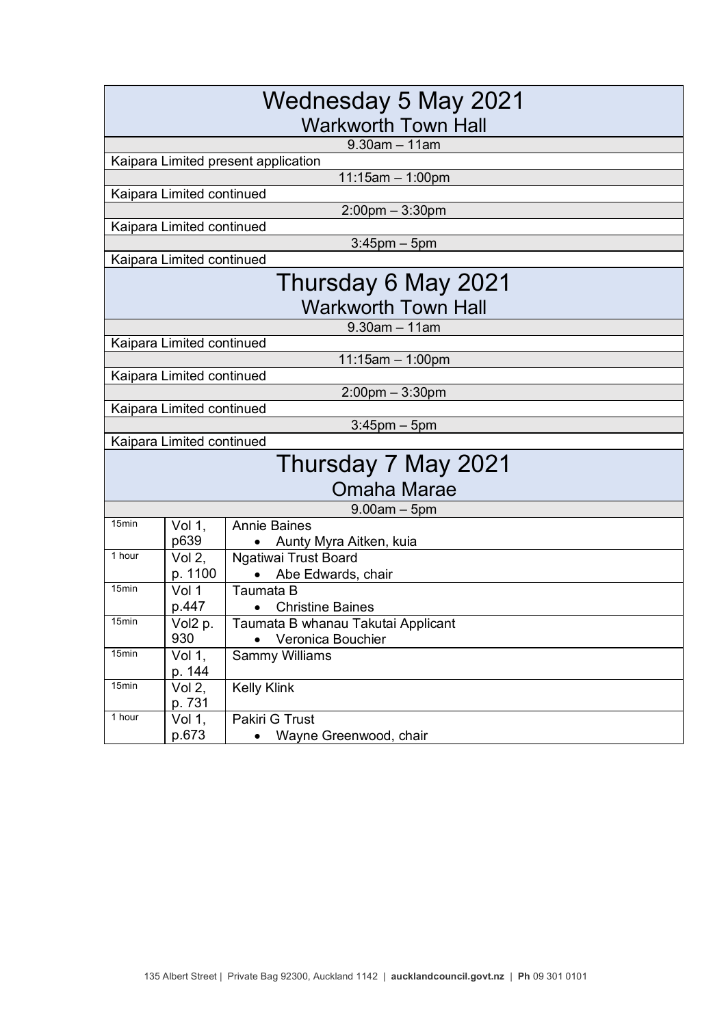| Wednesday 5 May 2021<br><b>Warkworth Town Hall</b> |                             |                                            |  |  |
|----------------------------------------------------|-----------------------------|--------------------------------------------|--|--|
| $9.30$ am $-11$ am                                 |                             |                                            |  |  |
|                                                    |                             | Kaipara Limited present application        |  |  |
|                                                    |                             | $11:15am - 1:00pm$                         |  |  |
|                                                    | Kaipara Limited continued   |                                            |  |  |
|                                                    |                             | $2:00$ pm $-3:30$ pm                       |  |  |
|                                                    | Kaipara Limited continued   |                                            |  |  |
|                                                    |                             | $3:45$ pm $-5$ pm                          |  |  |
|                                                    | Kaipara Limited continued   |                                            |  |  |
| Thursday 6 May 2021                                |                             |                                            |  |  |
|                                                    |                             | Warkworth Town Hall                        |  |  |
|                                                    |                             | $9.30$ am $-11$ am                         |  |  |
|                                                    | Kaipara Limited continued   |                                            |  |  |
|                                                    |                             | $11:15am - 1:00pm$                         |  |  |
|                                                    | Kaipara Limited continued   |                                            |  |  |
|                                                    |                             | $2:00$ pm $-3:30$ pm                       |  |  |
|                                                    | Kaipara Limited continued   |                                            |  |  |
|                                                    |                             | $3:45$ pm $-5$ pm                          |  |  |
|                                                    | Kaipara Limited continued   |                                            |  |  |
|                                                    |                             | Thursday 7 May 2021                        |  |  |
|                                                    |                             | Omaha Marae                                |  |  |
|                                                    |                             | $9.00$ am $-5$ pm                          |  |  |
| 15min                                              | Vol 1,                      | <b>Annie Baines</b>                        |  |  |
|                                                    | p639                        | Aunty Myra Aitken, kuia                    |  |  |
| 1 hour                                             | Vol $2,$                    | Ngatiwai Trust Board                       |  |  |
|                                                    | p. 1100                     | Abe Edwards, chair                         |  |  |
| 15 <sub>min</sub>                                  | Vol 1                       | Taumata B                                  |  |  |
| 15 <sub>min</sub>                                  | p.447                       | <b>Christine Baines</b>                    |  |  |
|                                                    | $\overline{Vol2}$ p.<br>930 | Taumata B whanau Takutai Applicant         |  |  |
| 15min                                              | Vol 1,                      | Veronica Bouchier<br><b>Sammy Williams</b> |  |  |
|                                                    | p. 144                      |                                            |  |  |
| 15min                                              | Vol 2,                      | <b>Kelly Klink</b>                         |  |  |
|                                                    | p. 731                      |                                            |  |  |
| 1 hour                                             | Vol 1,                      | Pakiri G Trust                             |  |  |
|                                                    | p.673                       | Wayne Greenwood, chair                     |  |  |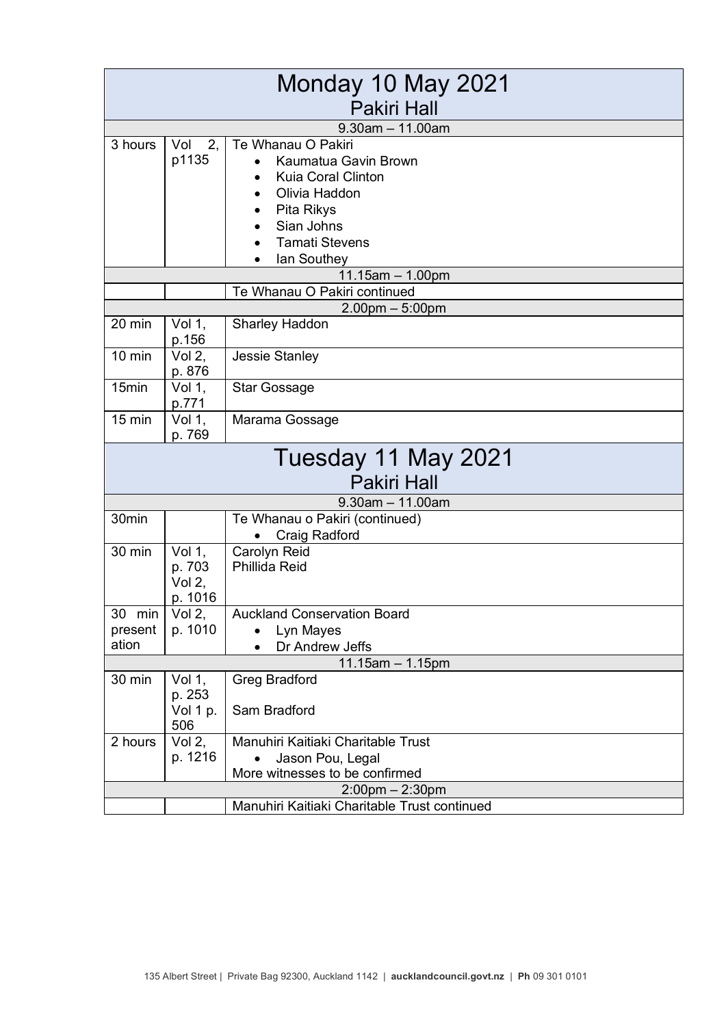| Monday 10 May 2021    |                 |                                              |  |
|-----------------------|-----------------|----------------------------------------------|--|
| <b>Pakiri Hall</b>    |                 |                                              |  |
|                       |                 | $9.30$ am $-11.00$ am                        |  |
| 3 hours               | 2,<br>Vol       | Te Whanau O Pakiri                           |  |
|                       | p1135           | Kaumatua Gavin Brown                         |  |
|                       |                 | <b>Kuia Coral Clinton</b>                    |  |
|                       |                 | Olivia Haddon                                |  |
|                       |                 | Pita Rikys                                   |  |
|                       |                 | Sian Johns                                   |  |
|                       |                 | <b>Tamati Stevens</b>                        |  |
|                       |                 | lan Southey                                  |  |
|                       |                 | $11.15$ am $- 1.00$ pm                       |  |
|                       |                 | Te Whanau O Pakiri continued                 |  |
|                       |                 | $2.00$ pm $-5:00$ pm                         |  |
| 20 min                | Vol 1,<br>p.156 | <b>Sharley Haddon</b>                        |  |
| $10$ min              | Vol $2,$        | Jessie Stanley                               |  |
|                       | p. 876          |                                              |  |
| 15min                 | Vol 1,          | <b>Star Gossage</b>                          |  |
|                       | p.771           |                                              |  |
| $15$ min              | Vol 1,          | Marama Gossage                               |  |
|                       | p. 769          |                                              |  |
|                       |                 | Tuesday 11 May 2021                          |  |
|                       |                 | <b>Pakiri Hall</b>                           |  |
|                       |                 | $9.30$ am $-11.00$ am                        |  |
| 30min                 |                 | Te Whanau o Pakiri (continued)               |  |
|                       |                 | Craig Radford                                |  |
| 30 min                | Vol 1,          | Carolyn Reid                                 |  |
|                       | p. 703          | Phillida Reid                                |  |
|                       | Vol $2,$        |                                              |  |
|                       | p. 1016         |                                              |  |
| 30 min                | Vol $2,$        | <b>Auckland Conservation Board</b>           |  |
| present               | p. 1010         | Lyn Mayes                                    |  |
| ation                 |                 | Dr Andrew Jeffs                              |  |
|                       |                 | $11.15$ am $- 1.15$ pm                       |  |
| 30 min                | Vol 1,          | <b>Greg Bradford</b>                         |  |
|                       | p. 253          |                                              |  |
|                       | Vol 1 p.<br>506 | Sam Bradford                                 |  |
| 2 hours               | Vol $2,$        | Manuhiri Kaitiaki Charitable Trust           |  |
|                       | p. 1216         | Jason Pou, Legal                             |  |
|                       |                 | More witnesses to be confirmed               |  |
| $2:00$ pm $- 2:30$ pm |                 |                                              |  |
|                       |                 | Manuhiri Kaitiaki Charitable Trust continued |  |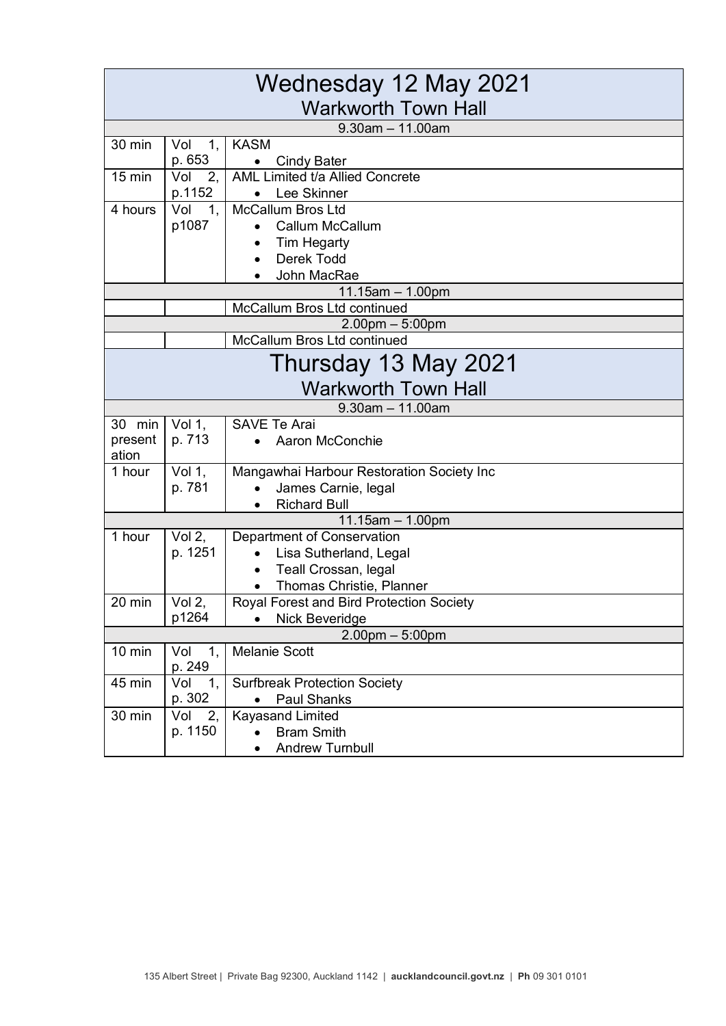| Wednesday 12 May 2021      |                     |                                                             |  |  |
|----------------------------|---------------------|-------------------------------------------------------------|--|--|
| <b>Warkworth Town Hall</b> |                     |                                                             |  |  |
|                            |                     | $9.30$ am $-11.00$ am                                       |  |  |
| 30 min                     | Vol<br>1,           | <b>KASM</b>                                                 |  |  |
|                            | p. 653              | <b>Cindy Bater</b>                                          |  |  |
| $15 \text{ min}$           | Vol<br>2,           | AML Limited t/a Allied Concrete                             |  |  |
|                            | p.1152              | Lee Skinner<br>$\bullet$                                    |  |  |
| 4 hours                    | Vol<br>1,           | <b>McCallum Bros Ltd</b>                                    |  |  |
|                            | p1087               | <b>Callum McCallum</b>                                      |  |  |
|                            |                     | <b>Tim Hegarty</b><br>Derek Todd                            |  |  |
|                            |                     | John MacRae                                                 |  |  |
|                            |                     | $11.15am - 1.00pm$                                          |  |  |
|                            |                     | McCallum Bros Ltd continued                                 |  |  |
|                            |                     | $2.00$ pm $-5:00$ pm                                        |  |  |
|                            |                     | McCallum Bros Ltd continued                                 |  |  |
|                            |                     | Thursday 13 May 2021                                        |  |  |
|                            |                     | <b>Warkworth Town Hall</b>                                  |  |  |
|                            |                     | $9.30$ am $- 11.00$ am                                      |  |  |
| 30 min                     | Vol 1,              | <b>SAVE Te Arai</b>                                         |  |  |
| present                    | p. 713              | Aaron McConchie                                             |  |  |
| ation                      |                     |                                                             |  |  |
| 1 hour                     | Vol 1,              | Mangawhai Harbour Restoration Society Inc                   |  |  |
|                            | p. 781              | James Carnie, legal                                         |  |  |
|                            |                     | <b>Richard Bull</b>                                         |  |  |
|                            |                     | 11.15am $-$ 1.00pm                                          |  |  |
| 1 hour                     | Vol $2,$<br>p. 1251 | <b>Department of Conservation</b><br>Lisa Sutherland, Legal |  |  |
|                            |                     | Teall Crossan, legal                                        |  |  |
|                            |                     | Thomas Christie, Planner                                    |  |  |
| 20 min                     | Vol 2,              | Royal Forest and Bird Protection Society                    |  |  |
|                            | p1264               | Nick Beveridge                                              |  |  |
| $2.00$ pm $-5:00$ pm       |                     |                                                             |  |  |
| 10 min                     | Vol<br>1,           | <b>Melanie Scott</b>                                        |  |  |
|                            | p. 249              |                                                             |  |  |
| 45 min                     | Vol<br>1,           | <b>Surfbreak Protection Society</b>                         |  |  |
|                            | p. 302              | <b>Paul Shanks</b><br>$\bullet$                             |  |  |
| 30 min                     | Vol<br>2,           | <b>Kayasand Limited</b>                                     |  |  |
|                            | p. 1150             | <b>Bram Smith</b>                                           |  |  |
|                            |                     | <b>Andrew Turnbull</b>                                      |  |  |